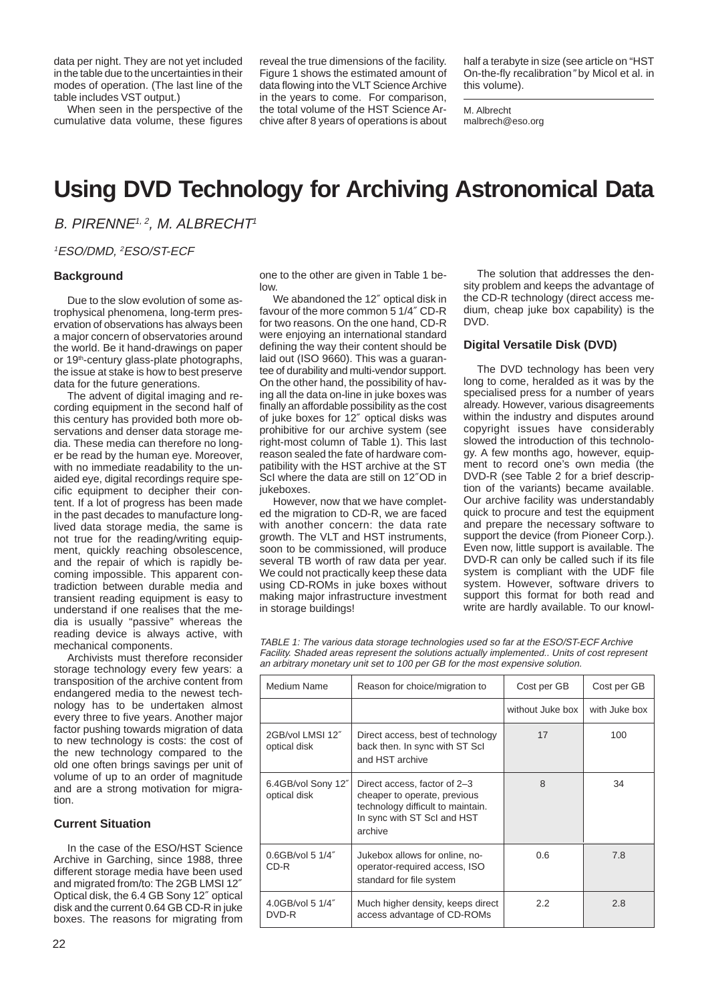data per night. They are not yet included in the table due to the uncertainties in their modes of operation. (The last line of the table includes VST output.)

When seen in the perspective of the cumulative data volume, these figures

reveal the true dimensions of the facility. Figure 1 shows the estimated amount of data flowing into the VLT Science Archive in the years to come. For comparison, the total volume of the HST Science Archive after 8 years of operations is about half a terabyte in size (see article on "HST On-the-fly recalibration" by Micol et al. in this volume).

M. Albrecht malbrech@eso.org

# **Using DVD Technology for Archiving Astronomical Data**

B. PIRENNE<sup>1, 2</sup>, M. ALBRECHT<sup>1</sup>

<sup>1</sup>ESO/DMD, <sup>2</sup>ESO/ST-ECF

#### **Background**

Due to the slow evolution of some astrophysical phenomena, long-term preservation of observations has always been a major concern of observatories around the world. Be it hand-drawings on paper or 19<sup>th</sup>-century glass-plate photographs, the issue at stake is how to best preserve data for the future generations.

The advent of digital imaging and recording equipment in the second half of this century has provided both more observations and denser data storage media. These media can therefore no longer be read by the human eye. Moreover, with no immediate readability to the unaided eye, digital recordings require specific equipment to decipher their content. If a lot of progress has been made in the past decades to manufacture longlived data storage media, the same is not true for the reading/writing equipment, quickly reaching obsolescence, and the repair of which is rapidly becoming impossible. This apparent contradiction between durable media and transient reading equipment is easy to understand if one realises that the media is usually "passive" whereas the reading device is always active, with mechanical components.

Archivists must therefore reconsider storage technology every few years: a transposition of the archive content from endangered media to the newest technology has to be undertaken almost every three to five years. Another major factor pushing towards migration of data to new technology is costs: the cost of the new technology compared to the old one often brings savings per unit of volume of up to an order of magnitude and are a strong motivation for migration.

#### **Current Situation**

In the case of the ESO/HST Science Archive in Garching, since 1988, three different storage media have been used and migrated from/to: The 2GB LMSI 12″ Optical disk, the 6.4 GB Sony 12″ optical disk and the current 0.64 GB CD-R in juke boxes. The reasons for migrating from one to the other are given in Table 1 below.

We abandoned the 12″ optical disk in favour of the more common 5 1/4″ CD-R for two reasons. On the one hand, CD-R were enjoying an international standard defining the way their content should be laid out (ISO 9660). This was a guarantee of durability and multi-vendor support. On the other hand, the possibility of having all the data on-line in juke boxes was finally an affordable possibility as the cost of juke boxes for 12″ optical disks was prohibitive for our archive system (see right-most column of Table 1). This last reason sealed the fate of hardware compatibility with the HST archive at the ST ScI where the data are still on 12″OD in jukeboxes.

However, now that we have completed the migration to CD-R, we are faced with another concern: the data rate growth. The VLT and HST instruments, soon to be commissioned, will produce several TB worth of raw data per year. We could not practically keep these data using CD-ROMs in juke boxes without making major infrastructure investment in storage buildings!

The solution that addresses the density problem and keeps the advantage of the CD-R technology (direct access medium, cheap juke box capability) is the DVD.

# **Digital Versatile Disk (DVD)**

The DVD technology has been very long to come, heralded as it was by the specialised press for a number of years already. However, various disagreements within the industry and disputes around copyright issues have considerably slowed the introduction of this technology. A few months ago, however, equipment to record one's own media (the DVD-R (see Table 2 for a brief description of the variants) became available. Our archive facility was understandably quick to procure and test the equipment and prepare the necessary software to support the device (from Pioneer Corp.). Even now, little support is available. The DVD-R can only be called such if its file system is compliant with the UDF file system. However, software drivers to support this format for both read and write are hardly available. To our knowl-

TABLE 1: The various data storage technologies used so far at the ESO/ST-ECF Archive Facility. Shaded areas represent the solutions actually implemented.. Units of cost represent an arbitrary monetary unit set to 100 per GB for the most expensive solution.

| Medium Name                        | Reason for choice/migration to                                                                                                              | Cost per GB      | Cost per GB   |
|------------------------------------|---------------------------------------------------------------------------------------------------------------------------------------------|------------------|---------------|
|                                    |                                                                                                                                             | without Juke box | with Juke box |
| 2GB/vol LMSI 12"<br>optical disk   | Direct access, best of technology<br>back then. In sync with ST Scl<br>and HST archive                                                      | 17               | 100           |
| 6.4GB/vol Sony 12"<br>optical disk | Direct access, factor of 2-3<br>cheaper to operate, previous<br>technology difficult to maintain.<br>In sync with ST ScI and HST<br>archive | 8                | 34            |
| $0.6$ GB/vol 5 $1/4''$<br>CD-R     | Jukebox allows for online, no-<br>operator-required access, ISO<br>standard for file system                                                 | 0.6              | 7.8           |
| 4.0GB/vol 5 1/4"<br>DVD-R          | Much higher density, keeps direct<br>access advantage of CD-ROMs                                                                            | 2.2              | 2.8           |
|                                    |                                                                                                                                             |                  |               |